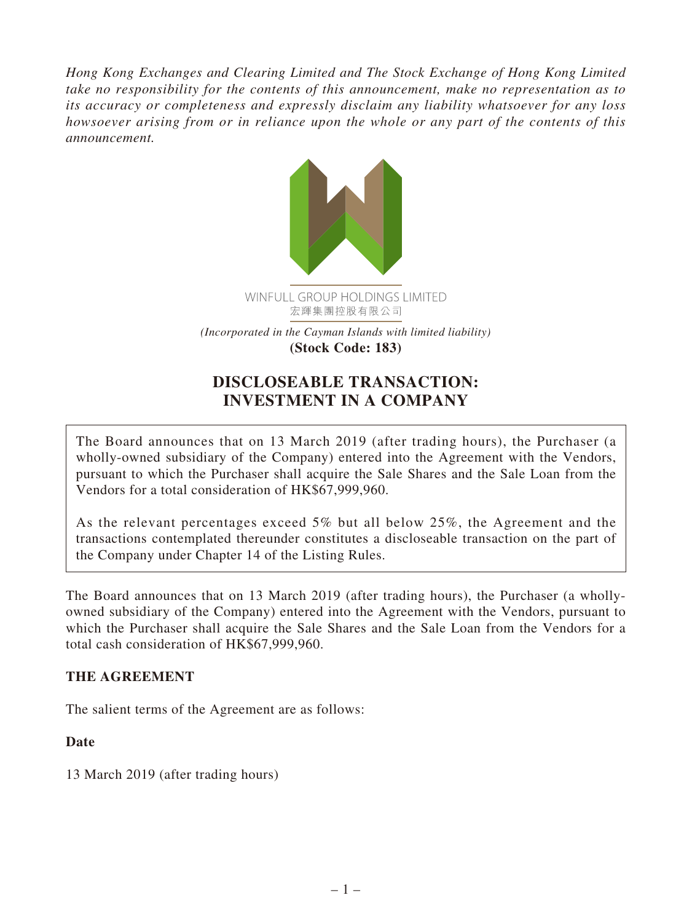*Hong Kong Exchanges and Clearing Limited and The Stock Exchange of Hong Kong Limited take no responsibility for the contents of this announcement, make no representation as to its accuracy or completeness and expressly disclaim any liability whatsoever for any loss howsoever arising from or in reliance upon the whole or any part of the contents of this announcement.*



# **DISCLOSEABLE TRANSACTION: INVESTMENT IN A COMPANY**

The Board announces that on 13 March 2019 (after trading hours), the Purchaser (a wholly-owned subsidiary of the Company) entered into the Agreement with the Vendors, pursuant to which the Purchaser shall acquire the Sale Shares and the Sale Loan from the Vendors for a total consideration of HK\$67,999,960.

As the relevant percentages exceed 5% but all below 25%, the Agreement and the transactions contemplated thereunder constitutes a discloseable transaction on the part of the Company under Chapter 14 of the Listing Rules.

The Board announces that on 13 March 2019 (after trading hours), the Purchaser (a whollyowned subsidiary of the Company) entered into the Agreement with the Vendors, pursuant to which the Purchaser shall acquire the Sale Shares and the Sale Loan from the Vendors for a total cash consideration of HK\$67,999,960.

### **THE AGREEMENT**

The salient terms of the Agreement are as follows:

### **Date**

13 March 2019 (after trading hours)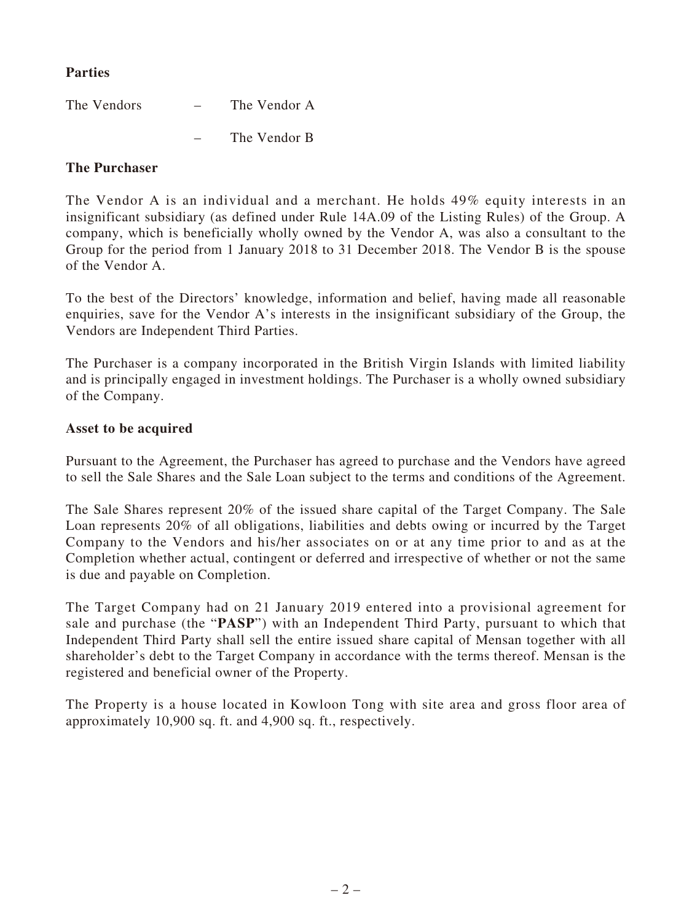### **Parties**

| The Vendors | $\overline{\phantom{0}}$ | The Vendor A |
|-------------|--------------------------|--------------|
|             |                          | The Vendor B |

#### **The Purchaser**

The Vendor A is an individual and a merchant. He holds 49% equity interests in an insignificant subsidiary (as defined under Rule 14A.09 of the Listing Rules) of the Group. A company, which is beneficially wholly owned by the Vendor A, was also a consultant to the Group for the period from 1 January 2018 to 31 December 2018. The Vendor B is the spouse of the Vendor A.

To the best of the Directors' knowledge, information and belief, having made all reasonable enquiries, save for the Vendor A's interests in the insignificant subsidiary of the Group, the Vendors are Independent Third Parties.

The Purchaser is a company incorporated in the British Virgin Islands with limited liability and is principally engaged in investment holdings. The Purchaser is a wholly owned subsidiary of the Company.

#### **Asset to be acquired**

Pursuant to the Agreement, the Purchaser has agreed to purchase and the Vendors have agreed to sell the Sale Shares and the Sale Loan subject to the terms and conditions of the Agreement.

The Sale Shares represent 20% of the issued share capital of the Target Company. The Sale Loan represents 20% of all obligations, liabilities and debts owing or incurred by the Target Company to the Vendors and his/her associates on or at any time prior to and as at the Completion whether actual, contingent or deferred and irrespective of whether or not the same is due and payable on Completion.

The Target Company had on 21 January 2019 entered into a provisional agreement for sale and purchase (the "**PASP**") with an Independent Third Party, pursuant to which that Independent Third Party shall sell the entire issued share capital of Mensan together with all shareholder's debt to the Target Company in accordance with the terms thereof. Mensan is the registered and beneficial owner of the Property.

The Property is a house located in Kowloon Tong with site area and gross floor area of approximately 10,900 sq. ft. and 4,900 sq. ft., respectively.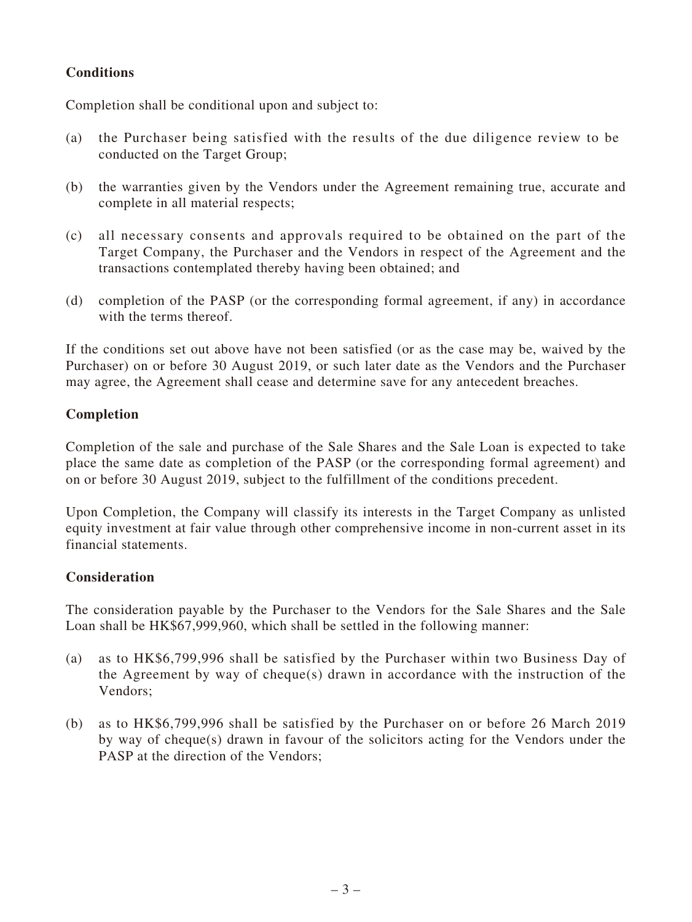### **Conditions**

Completion shall be conditional upon and subject to:

- (a) the Purchaser being satisfied with the results of the due diligence review to be conducted on the Target Group;
- (b) the warranties given by the Vendors under the Agreement remaining true, accurate and complete in all material respects;
- (c) all necessary consents and approvals required to be obtained on the part of the Target Company, the Purchaser and the Vendors in respect of the Agreement and the transactions contemplated thereby having been obtained; and
- (d) completion of the PASP (or the corresponding formal agreement, if any) in accordance with the terms thereof.

If the conditions set out above have not been satisfied (or as the case may be, waived by the Purchaser) on or before 30 August 2019, or such later date as the Vendors and the Purchaser may agree, the Agreement shall cease and determine save for any antecedent breaches.

### **Completion**

Completion of the sale and purchase of the Sale Shares and the Sale Loan is expected to take place the same date as completion of the PASP (or the corresponding formal agreement) and on or before 30 August 2019, subject to the fulfillment of the conditions precedent.

Upon Completion, the Company will classify its interests in the Target Company as unlisted equity investment at fair value through other comprehensive income in non-current asset in its financial statements.

### **Consideration**

The consideration payable by the Purchaser to the Vendors for the Sale Shares and the Sale Loan shall be HK\$67,999,960, which shall be settled in the following manner:

- (a) as to HK\$6,799,996 shall be satisfied by the Purchaser within two Business Day of the Agreement by way of cheque(s) drawn in accordance with the instruction of the Vendors;
- (b) as to HK\$6,799,996 shall be satisfied by the Purchaser on or before 26 March 2019 by way of cheque(s) drawn in favour of the solicitors acting for the Vendors under the PASP at the direction of the Vendors;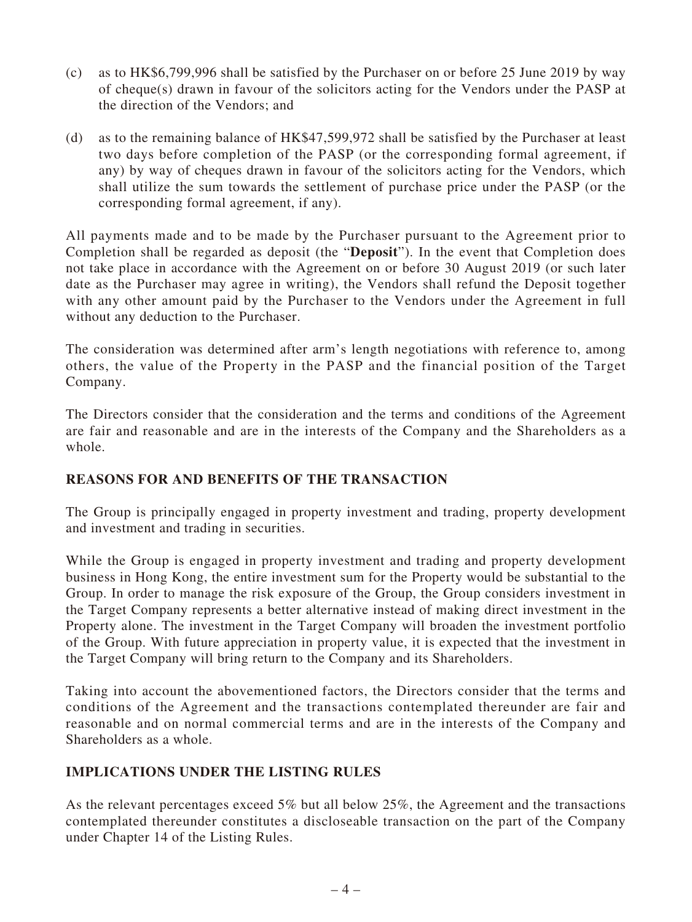- (c) as to HK\$6,799,996 shall be satisfied by the Purchaser on or before 25 June 2019 by way of cheque(s) drawn in favour of the solicitors acting for the Vendors under the PASP at the direction of the Vendors; and
- (d) as to the remaining balance of HK\$47,599,972 shall be satisfied by the Purchaser at least two days before completion of the PASP (or the corresponding formal agreement, if any) by way of cheques drawn in favour of the solicitors acting for the Vendors, which shall utilize the sum towards the settlement of purchase price under the PASP (or the corresponding formal agreement, if any).

All payments made and to be made by the Purchaser pursuant to the Agreement prior to Completion shall be regarded as deposit (the "**Deposit**"). In the event that Completion does not take place in accordance with the Agreement on or before 30 August 2019 (or such later date as the Purchaser may agree in writing), the Vendors shall refund the Deposit together with any other amount paid by the Purchaser to the Vendors under the Agreement in full without any deduction to the Purchaser.

The consideration was determined after arm's length negotiations with reference to, among others, the value of the Property in the PASP and the financial position of the Target Company.

The Directors consider that the consideration and the terms and conditions of the Agreement are fair and reasonable and are in the interests of the Company and the Shareholders as a whole.

### **REASONS FOR AND BENEFITS OF THE TRANSACTION**

The Group is principally engaged in property investment and trading, property development and investment and trading in securities.

While the Group is engaged in property investment and trading and property development business in Hong Kong, the entire investment sum for the Property would be substantial to the Group. In order to manage the risk exposure of the Group, the Group considers investment in the Target Company represents a better alternative instead of making direct investment in the Property alone. The investment in the Target Company will broaden the investment portfolio of the Group. With future appreciation in property value, it is expected that the investment in the Target Company will bring return to the Company and its Shareholders.

Taking into account the abovementioned factors, the Directors consider that the terms and conditions of the Agreement and the transactions contemplated thereunder are fair and reasonable and on normal commercial terms and are in the interests of the Company and Shareholders as a whole.

### **IMPLICATIONS UNDER THE LISTING RULES**

As the relevant percentages exceed 5% but all below 25%, the Agreement and the transactions contemplated thereunder constitutes a discloseable transaction on the part of the Company under Chapter 14 of the Listing Rules.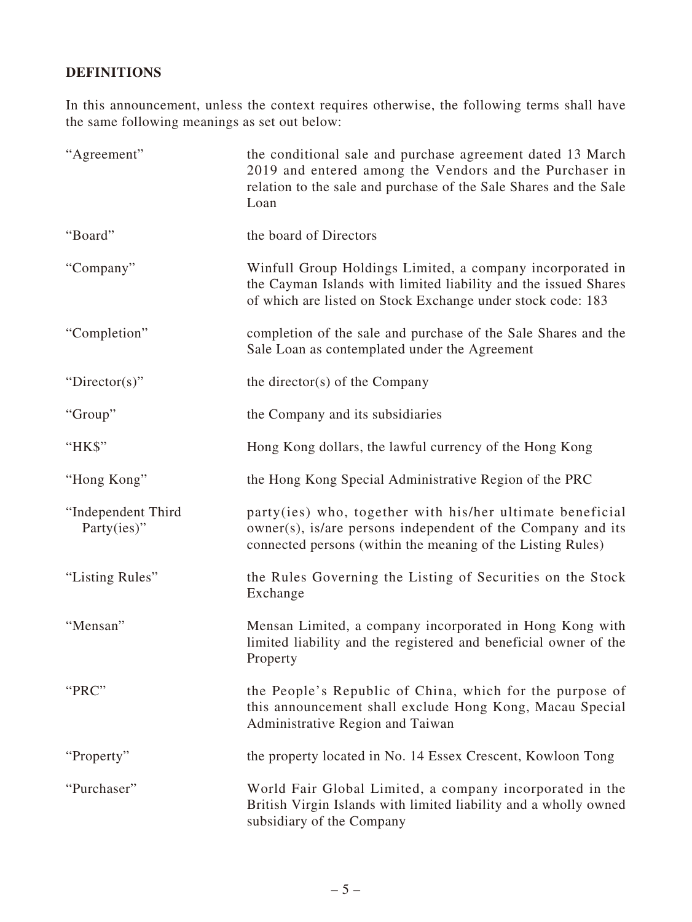## **DEFINITIONS**

In this announcement, unless the context requires otherwise, the following terms shall have the same following meanings as set out below:

| "Agreement"                           | the conditional sale and purchase agreement dated 13 March<br>2019 and entered among the Vendors and the Purchaser in<br>relation to the sale and purchase of the Sale Shares and the Sale<br>Loan |
|---------------------------------------|----------------------------------------------------------------------------------------------------------------------------------------------------------------------------------------------------|
| "Board"                               | the board of Directors                                                                                                                                                                             |
| "Company"                             | Winfull Group Holdings Limited, a company incorporated in<br>the Cayman Islands with limited liability and the issued Shares<br>of which are listed on Stock Exchange under stock code: 183        |
| "Completion"                          | completion of the sale and purchase of the Sale Shares and the<br>Sale Loan as contemplated under the Agreement                                                                                    |
| "Director(s)"                         | the director(s) of the Company                                                                                                                                                                     |
| "Group"                               | the Company and its subsidiaries                                                                                                                                                                   |
| "HK\$"                                | Hong Kong dollars, the lawful currency of the Hong Kong                                                                                                                                            |
| "Hong Kong"                           | the Hong Kong Special Administrative Region of the PRC                                                                                                                                             |
| "Independent Third<br>Party $(ies)$ " | party(ies) who, together with his/her ultimate beneficial<br>owner(s), is/are persons independent of the Company and its<br>connected persons (within the meaning of the Listing Rules)            |
| "Listing Rules"                       | the Rules Governing the Listing of Securities on the Stock<br>Exchange                                                                                                                             |
| "Mensan"                              | Mensan Limited, a company incorporated in Hong Kong with<br>limited liability and the registered and beneficial owner of the<br>Property                                                           |
| "PRC"                                 | the People's Republic of China, which for the purpose of<br>this announcement shall exclude Hong Kong, Macau Special<br>Administrative Region and Taiwan                                           |
| "Property"                            | the property located in No. 14 Essex Crescent, Kowloon Tong                                                                                                                                        |
| "Purchaser"                           | World Fair Global Limited, a company incorporated in the<br>British Virgin Islands with limited liability and a wholly owned<br>subsidiary of the Company                                          |